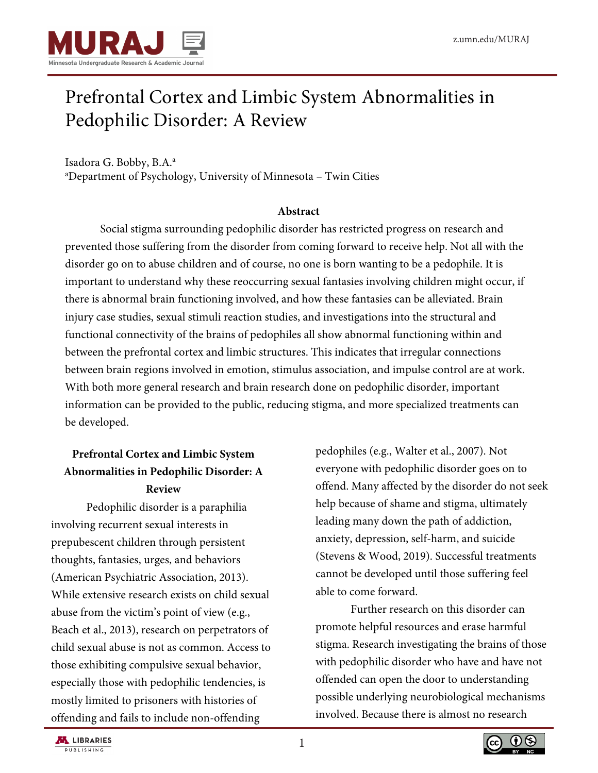

# Prefrontal Cortex and Limbic System Abnormalities in Pedophilic Disorder: A Review

Isadora G. Bobby, B.A.<sup>a</sup> <sup>a</sup>Department of Psychology, University of Minnesota – Twin Cities

### **Abstract**

Social stigma surrounding pedophilic disorder has restricted progress on research and prevented those suffering from the disorder from coming forward to receive help. Not all with the disorder go on to abuse children and of course, no one is born wanting to be a pedophile. It is important to understand why these reoccurring sexual fantasies involving children might occur, if there is abnormal brain functioning involved, and how these fantasies can be alleviated. Brain injury case studies, sexual stimuli reaction studies, and investigations into the structural and functional connectivity of the brains of pedophiles all show abnormal functioning within and between the prefrontal cortex and limbic structures. This indicates that irregular connections between brain regions involved in emotion, stimulus association, and impulse control are at work. With both more general research and brain research done on pedophilic disorder, important information can be provided to the public, reducing stigma, and more specialized treatments can be developed.

# **Prefrontal Cortex and Limbic System Abnormalities in Pedophilic Disorder: A Review**

Pedophilic disorder is a paraphilia involving recurrent sexual interests in prepubescent children through persistent thoughts, fantasies, urges, and behaviors (American Psychiatric Association, 2013). While extensive research exists on child sexual abuse from the victim's point of view (e.g., Beach et al., 2013), research on perpetrators of child sexual abuse is not as common. Access to those exhibiting compulsive sexual behavior, especially those with pedophilic tendencies, is mostly limited to prisoners with histories of offending and fails to include non-offending

pedophiles (e.g., Walter et al., 2007). Not everyone with pedophilic disorder goes on to offend. Many affected by the disorder do not seek help because of shame and stigma, ultimately leading many down the path of addiction, anxiety, depression, self-harm, and suicide (Stevens & Wood, 2019). Successful treatments cannot be developed until those suffering feel able to come forward.

Further research on this disorder can promote helpful resources and erase harmful stigma. Research investigating the brains of those with pedophilic disorder who have and have not offended can open the door to understanding possible underlying neurobiological mechanisms involved. Because there is almost no research

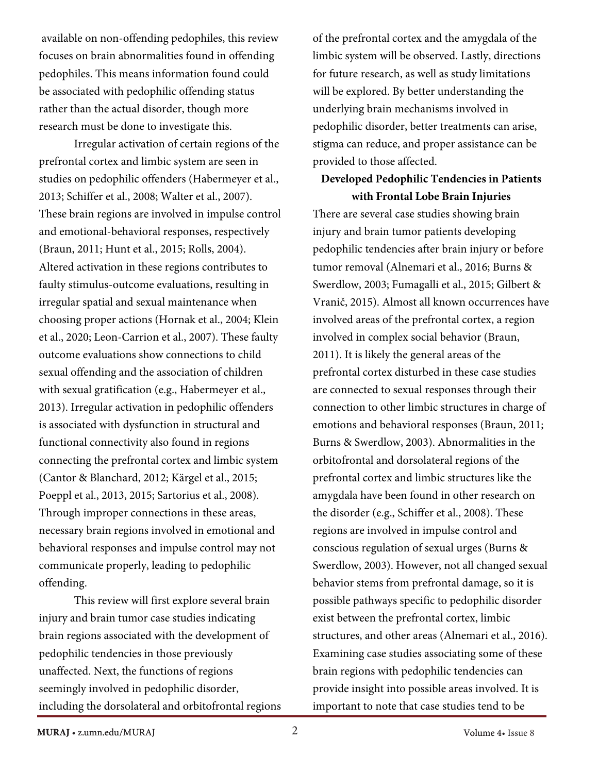available on non-offending pedophiles, this review focuses on brain abnormalities found in offending pedophiles. This means information found could be associated with pedophilic offending status rather than the actual disorder, though more research must be done to investigate this.

 Irregular activation of certain regions of the prefrontal cortex and limbic system are seen in studies on pedophilic offenders (Habermeyer et al., 2013; Schiffer et al., 2008; Walter et al., 2007). These brain regions are involved in impulse control and emotional-behavioral responses, respectively (Braun, 2011; Hunt et al., 2015; Rolls, 2004). Altered activation in these regions contributes to faulty stimulus-outcome evaluations, resulting in irregular spatial and sexual maintenance when choosing proper actions (Hornak et al., 2004; Klein et al., 2020; Leon-Carrion et al., 2007). These faulty outcome evaluations show connections to child sexual offending and the association of children with sexual gratification (e.g., Habermeyer et al., 2013). Irregular activation in pedophilic offenders is associated with dysfunction in structural and functional connectivity also found in regions connecting the prefrontal cortex and limbic system (Cantor & Blanchard, 2012; Kärgel et al., 2015; Poeppl et al., 2013, 2015; Sartorius et al., 2008). Through improper connections in these areas, necessary brain regions involved in emotional and behavioral responses and impulse control may not communicate properly, leading to pedophilic offending.

 This review will first explore several brain injury and brain tumor case studies indicating brain regions associated with the development of pedophilic tendencies in those previously unaffected. Next, the functions of regions seemingly involved in pedophilic disorder, including the dorsolateral and orbitofrontal regions of the prefrontal cortex and the amygdala of the limbic system will be observed. Lastly, directions for future research, as well as study limitations will be explored. By better understanding the underlying brain mechanisms involved in pedophilic disorder, better treatments can arise, stigma can reduce, and proper assistance can be provided to those affected.

### **Developed Pedophilic Tendencies in Patients with Frontal Lobe Brain Injuries**

There are several case studies showing brain injury and brain tumor patients developing pedophilic tendencies after brain injury or before tumor removal (Alnemari et al., 2016; Burns & Swerdlow, 2003; Fumagalli et al., 2015; Gilbert & Vranič, 2015). Almost all known occurrences have involved areas of the prefrontal cortex, a region involved in complex social behavior (Braun, 2011). It is likely the general areas of the prefrontal cortex disturbed in these case studies are connected to sexual responses through their connection to other limbic structures in charge of emotions and behavioral responses (Braun, 2011; Burns & Swerdlow, 2003). Abnormalities in the orbitofrontal and dorsolateral regions of the prefrontal cortex and limbic structures like the amygdala have been found in other research on the disorder (e.g., Schiffer et al., 2008). These regions are involved in impulse control and conscious regulation of sexual urges (Burns & Swerdlow, 2003). However, not all changed sexual behavior stems from prefrontal damage, so it is possible pathways specific to pedophilic disorder exist between the prefrontal cortex, limbic structures, and other areas (Alnemari et al., 2016). Examining case studies associating some of these brain regions with pedophilic tendencies can provide insight into possible areas involved. It is important to note that case studies tend to be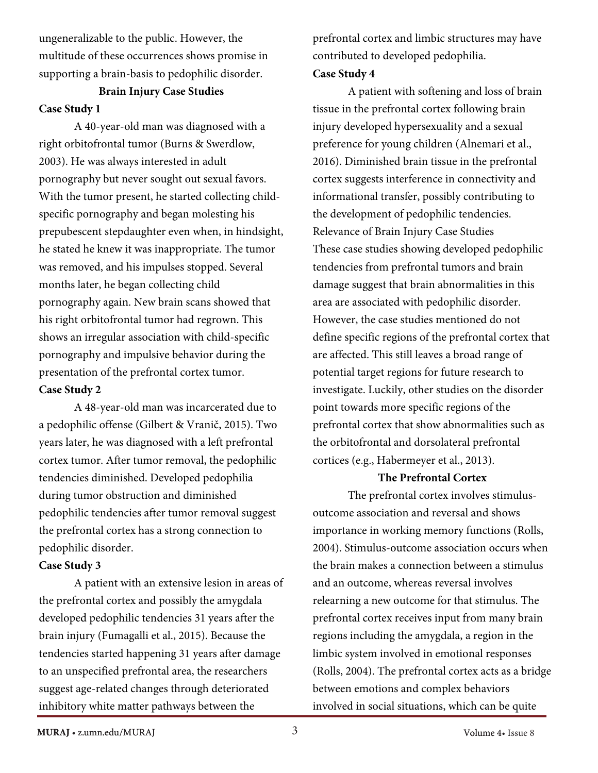ungeneralizable to the public. However, the multitude of these occurrences shows promise in supporting a brain-basis to pedophilic disorder.

# **Brain Injury Case Studies Case Study 1**

A 40-year-old man was diagnosed with a right orbitofrontal tumor (Burns & Swerdlow, 2003). He was always interested in adult pornography but never sought out sexual favors. With the tumor present, he started collecting childspecific pornography and began molesting his prepubescent stepdaughter even when, in hindsight, he stated he knew it was inappropriate. The tumor was removed, and his impulses stopped. Several months later, he began collecting child pornography again. New brain scans showed that his right orbitofrontal tumor had regrown. This shows an irregular association with child-specific pornography and impulsive behavior during the presentation of the prefrontal cortex tumor. **Case Study 2**

A 48-year-old man was incarcerated due to a pedophilic offense (Gilbert & Vranič, 2015). Two years later, he was diagnosed with a left prefrontal cortex tumor. After tumor removal, the pedophilic tendencies diminished. Developed pedophilia during tumor obstruction and diminished pedophilic tendencies after tumor removal suggest the prefrontal cortex has a strong connection to pedophilic disorder.

### **Case Study 3**

A patient with an extensive lesion in areas of the prefrontal cortex and possibly the amygdala developed pedophilic tendencies 31 years after the brain injury (Fumagalli et al., 2015). Because the tendencies started happening 31 years after damage to an unspecified prefrontal area, the researchers suggest age-related changes through deteriorated inhibitory white matter pathways between the

prefrontal cortex and limbic structures may have contributed to developed pedophilia. **Case Study 4**

A patient with softening and loss of brain tissue in the prefrontal cortex following brain injury developed hypersexuality and a sexual preference for young children (Alnemari et al., 2016). Diminished brain tissue in the prefrontal cortex suggests interference in connectivity and informational transfer, possibly contributing to the development of pedophilic tendencies. Relevance of Brain Injury Case Studies These case studies showing developed pedophilic tendencies from prefrontal tumors and brain damage suggest that brain abnormalities in this area are associated with pedophilic disorder. However, the case studies mentioned do not define specific regions of the prefrontal cortex that are affected. This still leaves a broad range of potential target regions for future research to investigate. Luckily, other studies on the disorder point towards more specific regions of the prefrontal cortex that show abnormalities such as the orbitofrontal and dorsolateral prefrontal cortices (e.g., Habermeyer et al., 2013).

### **The Prefrontal Cortex**

The prefrontal cortex involves stimulusoutcome association and reversal and shows importance in working memory functions (Rolls, 2004). Stimulus-outcome association occurs when the brain makes a connection between a stimulus and an outcome, whereas reversal involves relearning a new outcome for that stimulus. The prefrontal cortex receives input from many brain regions including the amygdala, a region in the limbic system involved in emotional responses (Rolls, 2004). The prefrontal cortex acts as a bridge between emotions and complex behaviors involved in social situations, which can be quite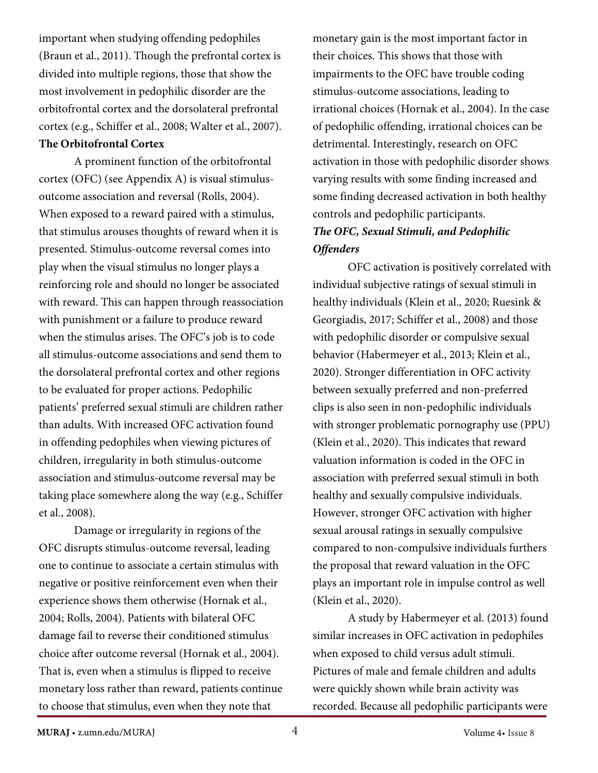important when studying offending pedophiles (Braun et al., 2011). Though the prefrontal cortex is divided into multiple regions, those that show the most involvement in pedophilic disorder are the orbitofrontal cortex and the dorsolateral prefrontal cortex (e.g., Schiffer et al., 2008; Walter et al., 2007).

### **The Orbitofrontal Cortex**

A prominent function of the orbitofrontal cortex (OFC) (see Appendix A) is visual stimulusoutcome association and reversal (Rolls, 2004). When exposed to a reward paired with a stimulus, that stimulus arouses thoughts of reward when it is presented. Stimulus-outcome reversal comes into play when the visual stimulus no longer plays a reinforcing role and should no longer be associated with reward. This can happen through reassociation with punishment or a failure to produce reward when the stimulus arises. The OFC's job is to code all stimulus-outcome associations and send them to the dorsolateral prefrontal cortex and other regions to be evaluated for proper actions. Pedophilic patients' preferred sexual stimuli are children rather than adults. With increased OFC activation found in offending pedophiles when viewing pictures of children, irregularity in both stimulus-outcome association and stimulus-outcome reversal may be taking place somewhere along the way (e.g., Schiffer et al., 2008).

Damage or irregularity in regions of the OFC disrupts stimulus-outcome reversal, leading one to continue to associate a certain stimulus with negative or positive reinforcement even when their experience shows them otherwise (Hornak et al., 2004; Rolls, 2004). Patients with bilateral OFC damage fail to reverse their conditioned stimulus choice after outcome reversal (Hornak et al., 2004). That is, even when a stimulus is flipped to receive monetary loss rather than reward, patients continue to choose that stimulus, even when they note that

monetary gain is the most important factor in their choices. This shows that those with impairments to the OFC have trouble coding stimulus-outcome associations, leading to irrational choices (Hornak et al., 2004). In the case of pedophilic offending, irrational choices can be detrimental. Interestingly, research on OFC activation in those with pedophilic disorder shows varying results with some finding increased and some finding decreased activation in both healthy controls and pedophilic participants. *The OFC, Sexual Stimuli, and Pedophilic Offenders*

OFC activation is positively correlated with individual subjective ratings of sexual stimuli in healthy individuals (Klein et al., 2020; Ruesink & Georgiadis, 2017; Schiffer et al., 2008) and those with pedophilic disorder or compulsive sexual behavior (Habermeyer et al., 2013; Klein et al., 2020). Stronger differentiation in OFC activity between sexually preferred and non-preferred clips is also seen in non-pedophilic individuals with stronger problematic pornography use (PPU) (Klein et al., 2020). This indicates that reward valuation information is coded in the OFC in association with preferred sexual stimuli in both healthy and sexually compulsive individuals. However, stronger OFC activation with higher sexual arousal ratings in sexually compulsive compared to non-compulsive individuals furthers the proposal that reward valuation in the OFC plays an important role in impulse control as well (Klein et al., 2020).

A study by Habermeyer et al. (2013) found similar increases in OFC activation in pedophiles when exposed to child versus adult stimuli. Pictures of male and female children and adults were quickly shown while brain activity was recorded. Because all pedophilic participants were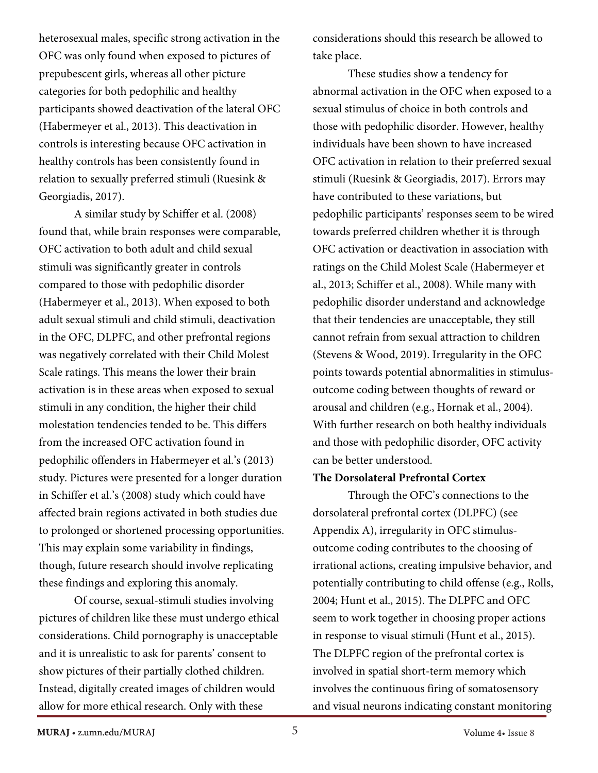heterosexual males, specific strong activation in the OFC was only found when exposed to pictures of prepubescent girls, whereas all other picture categories for both pedophilic and healthy participants showed deactivation of the lateral OFC (Habermeyer et al., 2013). This deactivation in controls is interesting because OFC activation in healthy controls has been consistently found in relation to sexually preferred stimuli (Ruesink & Georgiadis, 2017).

A similar study by Schiffer et al. (2008) found that, while brain responses were comparable, OFC activation to both adult and child sexual stimuli was significantly greater in controls compared to those with pedophilic disorder (Habermeyer et al., 2013). When exposed to both adult sexual stimuli and child stimuli, deactivation in the OFC, DLPFC, and other prefrontal regions was negatively correlated with their Child Molest Scale ratings. This means the lower their brain activation is in these areas when exposed to sexual stimuli in any condition, the higher their child molestation tendencies tended to be. This differs from the increased OFC activation found in pedophilic offenders in Habermeyer et al.'s (2013) study. Pictures were presented for a longer duration in Schiffer et al.'s (2008) study which could have affected brain regions activated in both studies due to prolonged or shortened processing opportunities. This may explain some variability in findings, though, future research should involve replicating these findings and exploring this anomaly.

Of course, sexual-stimuli studies involving pictures of children like these must undergo ethical considerations. Child pornography is unacceptable and it is unrealistic to ask for parents' consent to show pictures of their partially clothed children. Instead, digitally created images of children would allow for more ethical research. Only with these

considerations should this research be allowed to take place.

These studies show a tendency for abnormal activation in the OFC when exposed to a sexual stimulus of choice in both controls and those with pedophilic disorder. However, healthy individuals have been shown to have increased OFC activation in relation to their preferred sexual stimuli (Ruesink & Georgiadis, 2017). Errors may have contributed to these variations, but pedophilic participants' responses seem to be wired towards preferred children whether it is through OFC activation or deactivation in association with ratings on the Child Molest Scale (Habermeyer et al., 2013; Schiffer et al., 2008). While many with pedophilic disorder understand and acknowledge that their tendencies are unacceptable, they still cannot refrain from sexual attraction to children (Stevens & Wood, 2019). Irregularity in the OFC points towards potential abnormalities in stimulusoutcome coding between thoughts of reward or arousal and children (e.g., Hornak et al., 2004). With further research on both healthy individuals and those with pedophilic disorder, OFC activity can be better understood.

### **The Dorsolateral Prefrontal Cortex**

Through the OFC's connections to the dorsolateral prefrontal cortex (DLPFC) (see Appendix A), irregularity in OFC stimulusoutcome coding contributes to the choosing of irrational actions, creating impulsive behavior, and potentially contributing to child offense (e.g., Rolls, 2004; Hunt et al., 2015). The DLPFC and OFC seem to work together in choosing proper actions in response to visual stimuli (Hunt et al., 2015). The DLPFC region of the prefrontal cortex is involved in spatial short-term memory which involves the continuous firing of somatosensory and visual neurons indicating constant monitoring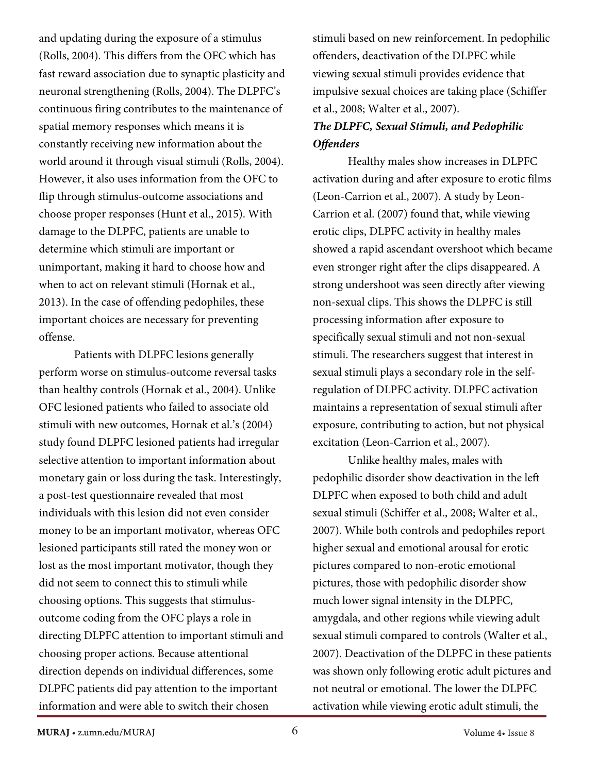and updating during the exposure of a stimulus (Rolls, 2004). This differs from the OFC which has fast reward association due to synaptic plasticity and neuronal strengthening (Rolls, 2004). The DLPFC's continuous firing contributes to the maintenance of spatial memory responses which means it is constantly receiving new information about the world around it through visual stimuli (Rolls, 2004). However, it also uses information from the OFC to flip through stimulus-outcome associations and choose proper responses (Hunt et al., 2015). With damage to the DLPFC, patients are unable to determine which stimuli are important or unimportant, making it hard to choose how and when to act on relevant stimuli (Hornak et al., 2013). In the case of offending pedophiles, these important choices are necessary for preventing offense.

Patients with DLPFC lesions generally perform worse on stimulus-outcome reversal tasks than healthy controls (Hornak et al., 2004). Unlike OFC lesioned patients who failed to associate old stimuli with new outcomes, Hornak et al.'s (2004) study found DLPFC lesioned patients had irregular selective attention to important information about monetary gain or loss during the task. Interestingly, a post-test questionnaire revealed that most individuals with this lesion did not even consider money to be an important motivator, whereas OFC lesioned participants still rated the money won or lost as the most important motivator, though they did not seem to connect this to stimuli while choosing options. This suggests that stimulusoutcome coding from the OFC plays a role in directing DLPFC attention to important stimuli and choosing proper actions. Because attentional direction depends on individual differences, some DLPFC patients did pay attention to the important information and were able to switch their chosen

stimuli based on new reinforcement. In pedophilic offenders, deactivation of the DLPFC while viewing sexual stimuli provides evidence that impulsive sexual choices are taking place (Schiffer et al., 2008; Walter et al., 2007).

# *The DLPFC, Sexual Stimuli, and Pedophilic Offenders*

Healthy males show increases in DLPFC activation during and after exposure to erotic films (Leon-Carrion et al., 2007). A study by Leon-Carrion et al. (2007) found that, while viewing erotic clips, DLPFC activity in healthy males showed a rapid ascendant overshoot which became even stronger right after the clips disappeared. A strong undershoot was seen directly after viewing non-sexual clips. This shows the DLPFC is still processing information after exposure to specifically sexual stimuli and not non-sexual stimuli. The researchers suggest that interest in sexual stimuli plays a secondary role in the selfregulation of DLPFC activity. DLPFC activation maintains a representation of sexual stimuli after exposure, contributing to action, but not physical excitation (Leon-Carrion et al., 2007).

Unlike healthy males, males with pedophilic disorder show deactivation in the left DLPFC when exposed to both child and adult sexual stimuli (Schiffer et al., 2008; Walter et al., 2007). While both controls and pedophiles report higher sexual and emotional arousal for erotic pictures compared to non-erotic emotional pictures, those with pedophilic disorder show much lower signal intensity in the DLPFC, amygdala, and other regions while viewing adult sexual stimuli compared to controls (Walter et al., 2007). Deactivation of the DLPFC in these patients was shown only following erotic adult pictures and not neutral or emotional. The lower the DLPFC activation while viewing erotic adult stimuli, the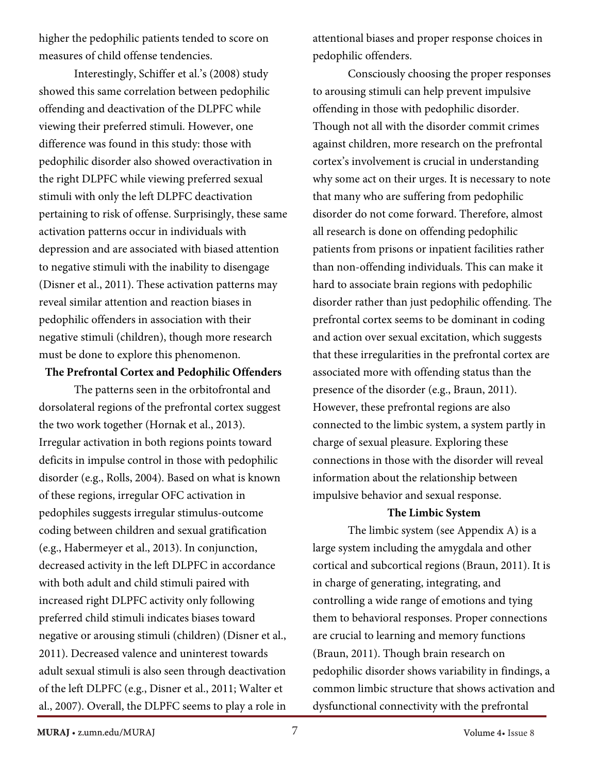higher the pedophilic patients tended to score on measures of child offense tendencies.

Interestingly, Schiffer et al.'s (2008) study showed this same correlation between pedophilic offending and deactivation of the DLPFC while viewing their preferred stimuli. However, one difference was found in this study: those with pedophilic disorder also showed overactivation in the right DLPFC while viewing preferred sexual stimuli with only the left DLPFC deactivation pertaining to risk of offense. Surprisingly, these same activation patterns occur in individuals with depression and are associated with biased attention to negative stimuli with the inability to disengage (Disner et al., 2011). These activation patterns may reveal similar attention and reaction biases in pedophilic offenders in association with their negative stimuli (children), though more research must be done to explore this phenomenon.

#### **The Prefrontal Cortex and Pedophilic Offenders**

The patterns seen in the orbitofrontal and dorsolateral regions of the prefrontal cortex suggest the two work together (Hornak et al., 2013). Irregular activation in both regions points toward deficits in impulse control in those with pedophilic disorder (e.g., Rolls, 2004). Based on what is known of these regions, irregular OFC activation in pedophiles suggests irregular stimulus-outcome coding between children and sexual gratification (e.g., Habermeyer et al., 2013). In conjunction, decreased activity in the left DLPFC in accordance with both adult and child stimuli paired with increased right DLPFC activity only following preferred child stimuli indicates biases toward negative or arousing stimuli (children) (Disner et al., 2011). Decreased valence and uninterest towards adult sexual stimuli is also seen through deactivation of the left DLPFC (e.g., Disner et al., 2011; Walter et al., 2007). Overall, the DLPFC seems to play a role in attentional biases and proper response choices in pedophilic offenders.

Consciously choosing the proper responses to arousing stimuli can help prevent impulsive offending in those with pedophilic disorder. Though not all with the disorder commit crimes against children, more research on the prefrontal cortex's involvement is crucial in understanding why some act on their urges. It is necessary to note that many who are suffering from pedophilic disorder do not come forward. Therefore, almost all research is done on offending pedophilic patients from prisons or inpatient facilities rather than non-offending individuals. This can make it hard to associate brain regions with pedophilic disorder rather than just pedophilic offending. The prefrontal cortex seems to be dominant in coding and action over sexual excitation, which suggests that these irregularities in the prefrontal cortex are associated more with offending status than the presence of the disorder (e.g., Braun, 2011). However, these prefrontal regions are also connected to the limbic system, a system partly in charge of sexual pleasure. Exploring these connections in those with the disorder will reveal information about the relationship between impulsive behavior and sexual response.

#### **The Limbic System**

The limbic system (see Appendix A) is a large system including the amygdala and other cortical and subcortical regions (Braun, 2011). It is in charge of generating, integrating, and controlling a wide range of emotions and tying them to behavioral responses. Proper connections are crucial to learning and memory functions (Braun, 2011). Though brain research on pedophilic disorder shows variability in findings, a common limbic structure that shows activation and dysfunctional connectivity with the prefrontal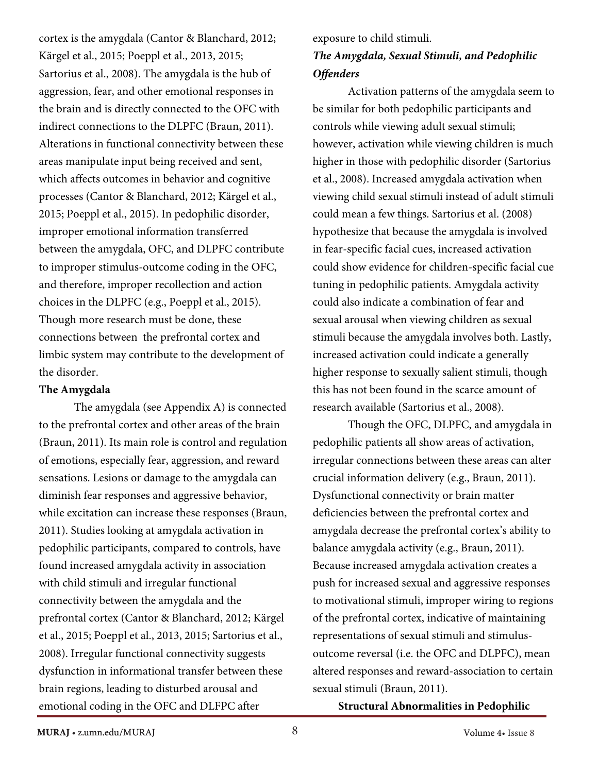cortex is the amygdala (Cantor & Blanchard, 2012; Kärgel et al., 2015; Poeppl et al., 2013, 2015; Sartorius et al., 2008). The amygdala is the hub of aggression, fear, and other emotional responses in the brain and is directly connected to the OFC with indirect connections to the DLPFC (Braun, 2011). Alterations in functional connectivity between these areas manipulate input being received and sent, which affects outcomes in behavior and cognitive processes (Cantor & Blanchard, 2012; Kärgel et al., 2015; Poeppl et al., 2015). In pedophilic disorder, improper emotional information transferred between the amygdala, OFC, and DLPFC contribute to improper stimulus-outcome coding in the OFC, and therefore, improper recollection and action choices in the DLPFC (e.g., Poeppl et al., 2015). Though more research must be done, these connections between the prefrontal cortex and limbic system may contribute to the development of the disorder.

### **The Amygdala**

The amygdala (see Appendix A) is connected to the prefrontal cortex and other areas of the brain (Braun, 2011). Its main role is control and regulation of emotions, especially fear, aggression, and reward sensations. Lesions or damage to the amygdala can diminish fear responses and aggressive behavior, while excitation can increase these responses (Braun, 2011). Studies looking at amygdala activation in pedophilic participants, compared to controls, have found increased amygdala activity in association with child stimuli and irregular functional connectivity between the amygdala and the prefrontal cortex (Cantor & Blanchard, 2012; Kärgel et al., 2015; Poeppl et al., 2013, 2015; Sartorius et al., 2008). Irregular functional connectivity suggests dysfunction in informational transfer between these brain regions, leading to disturbed arousal and emotional coding in the OFC and DLFPC after

exposure to child stimuli. *The Amygdala, Sexual Stimuli, and Pedophilic Offenders*

Activation patterns of the amygdala seem to be similar for both pedophilic participants and controls while viewing adult sexual stimuli; however, activation while viewing children is much higher in those with pedophilic disorder (Sartorius et al., 2008). Increased amygdala activation when viewing child sexual stimuli instead of adult stimuli could mean a few things. Sartorius et al. (2008) hypothesize that because the amygdala is involved in fear-specific facial cues, increased activation could show evidence for children-specific facial cue tuning in pedophilic patients. Amygdala activity could also indicate a combination of fear and sexual arousal when viewing children as sexual stimuli because the amygdala involves both. Lastly, increased activation could indicate a generally higher response to sexually salient stimuli, though this has not been found in the scarce amount of research available (Sartorius et al., 2008).

Though the OFC, DLPFC, and amygdala in pedophilic patients all show areas of activation, irregular connections between these areas can alter crucial information delivery (e.g., Braun, 2011). Dysfunctional connectivity or brain matter deficiencies between the prefrontal cortex and amygdala decrease the prefrontal cortex's ability to balance amygdala activity (e.g., Braun, 2011). Because increased amygdala activation creates a push for increased sexual and aggressive responses to motivational stimuli, improper wiring to regions of the prefrontal cortex, indicative of maintaining representations of sexual stimuli and stimulusoutcome reversal (i.e. the OFC and DLPFC), mean altered responses and reward-association to certain sexual stimuli (Braun, 2011).

**Structural Abnormalities in Pedophilic**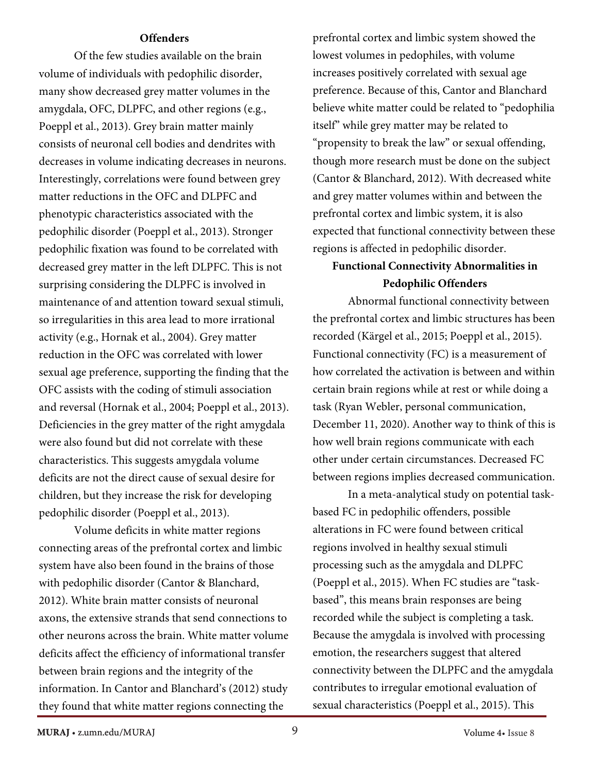#### **Offenders**

Of the few studies available on the brain volume of individuals with pedophilic disorder, many show decreased grey matter volumes in the amygdala, OFC, DLPFC, and other regions (e.g., Poeppl et al., 2013). Grey brain matter mainly consists of neuronal cell bodies and dendrites with decreases in volume indicating decreases in neurons. Interestingly, correlations were found between grey matter reductions in the OFC and DLPFC and phenotypic characteristics associated with the pedophilic disorder (Poeppl et al., 2013). Stronger pedophilic fixation was found to be correlated with decreased grey matter in the left DLPFC. This is not surprising considering the DLPFC is involved in maintenance of and attention toward sexual stimuli, so irregularities in this area lead to more irrational activity (e.g., Hornak et al., 2004). Grey matter reduction in the OFC was correlated with lower sexual age preference, supporting the finding that the OFC assists with the coding of stimuli association and reversal (Hornak et al., 2004; Poeppl et al., 2013). Deficiencies in the grey matter of the right amygdala were also found but did not correlate with these characteristics. This suggests amygdala volume deficits are not the direct cause of sexual desire for children, but they increase the risk for developing pedophilic disorder (Poeppl et al., 2013).

Volume deficits in white matter regions connecting areas of the prefrontal cortex and limbic system have also been found in the brains of those with pedophilic disorder (Cantor & Blanchard, 2012). White brain matter consists of neuronal axons, the extensive strands that send connections to other neurons across the brain. White matter volume deficits affect the efficiency of informational transfer between brain regions and the integrity of the information. In Cantor and Blanchard's (2012) study they found that white matter regions connecting the

prefrontal cortex and limbic system showed the lowest volumes in pedophiles, with volume increases positively correlated with sexual age preference. Because of this, Cantor and Blanchard believe white matter could be related to "pedophilia itself" while grey matter may be related to "propensity to break the law" or sexual offending, though more research must be done on the subject (Cantor & Blanchard, 2012). With decreased white and grey matter volumes within and between the prefrontal cortex and limbic system, it is also expected that functional connectivity between these regions is affected in pedophilic disorder.

# **Functional Connectivity Abnormalities in Pedophilic Offenders**

Abnormal functional connectivity between the prefrontal cortex and limbic structures has been recorded (Kärgel et al., 2015; Poeppl et al., 2015). Functional connectivity (FC) is a measurement of how correlated the activation is between and within certain brain regions while at rest or while doing a task (Ryan Webler, personal communication, December 11, 2020). Another way to think of this is how well brain regions communicate with each other under certain circumstances. Decreased FC between regions implies decreased communication.

In a meta-analytical study on potential taskbased FC in pedophilic offenders, possible alterations in FC were found between critical regions involved in healthy sexual stimuli processing such as the amygdala and DLPFC (Poeppl et al., 2015). When FC studies are "taskbased", this means brain responses are being recorded while the subject is completing a task. Because the amygdala is involved with processing emotion, the researchers suggest that altered connectivity between the DLPFC and the amygdala contributes to irregular emotional evaluation of sexual characteristics (Poeppl et al., 2015). This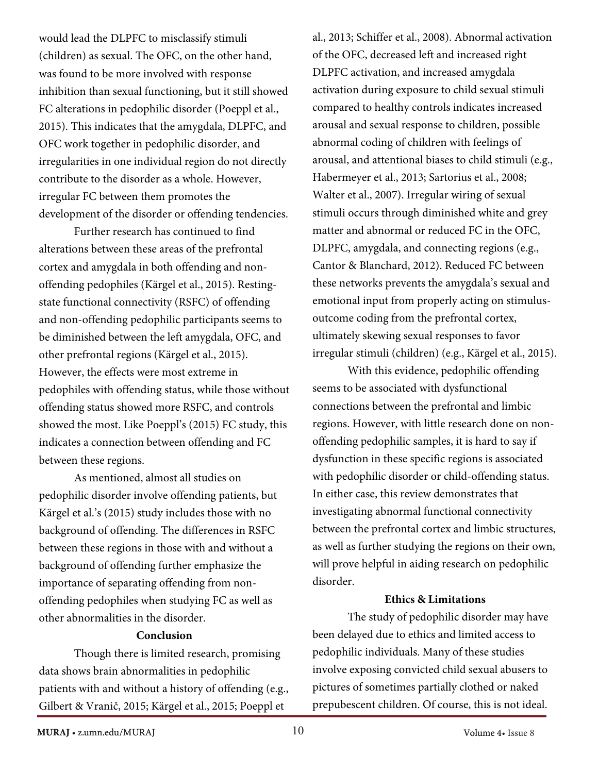would lead the DLPFC to misclassify stimuli (children) as sexual. The OFC, on the other hand, was found to be more involved with response inhibition than sexual functioning, but it still showed FC alterations in pedophilic disorder (Poeppl et al., 2015). This indicates that the amygdala, DLPFC, and OFC work together in pedophilic disorder, and irregularities in one individual region do not directly contribute to the disorder as a whole. However, irregular FC between them promotes the development of the disorder or offending tendencies.

Further research has continued to find alterations between these areas of the prefrontal cortex and amygdala in both offending and nonoffending pedophiles (Kärgel et al., 2015). Restingstate functional connectivity (RSFC) of offending and non-offending pedophilic participants seems to be diminished between the left amygdala, OFC, and other prefrontal regions (Kärgel et al., 2015). However, the effects were most extreme in pedophiles with offending status, while those without offending status showed more RSFC, and controls showed the most. Like Poeppl's (2015) FC study, this indicates a connection between offending and FC between these regions.

As mentioned, almost all studies on pedophilic disorder involve offending patients, but Kärgel et al.'s (2015) study includes those with no background of offending. The differences in RSFC between these regions in those with and without a background of offending further emphasize the importance of separating offending from nonoffending pedophiles when studying FC as well as other abnormalities in the disorder.

### **Conclusion**

Though there is limited research, promising data shows brain abnormalities in pedophilic patients with and without a history of offending (e.g., Gilbert & Vranič, 2015; Kärgel et al., 2015; Poeppl et

al., 2013; Schiffer et al., 2008). Abnormal activation of the OFC, decreased left and increased right DLPFC activation, and increased amygdala activation during exposure to child sexual stimuli compared to healthy controls indicates increased arousal and sexual response to children, possible abnormal coding of children with feelings of arousal, and attentional biases to child stimuli (e.g., Habermeyer et al., 2013; Sartorius et al., 2008; Walter et al., 2007). Irregular wiring of sexual stimuli occurs through diminished white and grey matter and abnormal or reduced FC in the OFC, DLPFC, amygdala, and connecting regions (e.g., Cantor & Blanchard, 2012). Reduced FC between these networks prevents the amygdala's sexual and emotional input from properly acting on stimulusoutcome coding from the prefrontal cortex, ultimately skewing sexual responses to favor irregular stimuli (children) (e.g., Kärgel et al., 2015).

With this evidence, pedophilic offending seems to be associated with dysfunctional connections between the prefrontal and limbic regions. However, with little research done on nonoffending pedophilic samples, it is hard to say if dysfunction in these specific regions is associated with pedophilic disorder or child-offending status. In either case, this review demonstrates that investigating abnormal functional connectivity between the prefrontal cortex and limbic structures, as well as further studying the regions on their own, will prove helpful in aiding research on pedophilic disorder.

### **Ethics & Limitations**

The study of pedophilic disorder may have been delayed due to ethics and limited access to pedophilic individuals. Many of these studies involve exposing convicted child sexual abusers to pictures of sometimes partially clothed or naked prepubescent children. Of course, this is not ideal.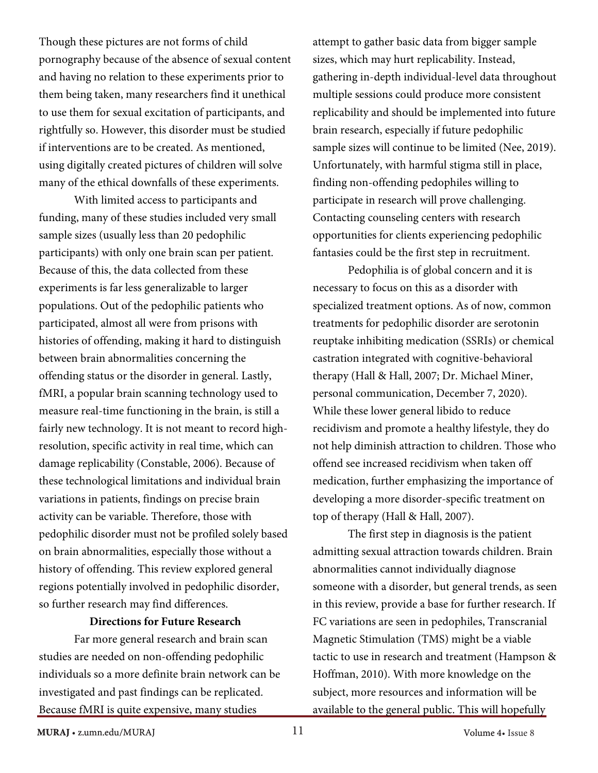Though these pictures are not forms of child pornography because of the absence of sexual content and having no relation to these experiments prior to them being taken, many researchers find it unethical to use them for sexual excitation of participants, and rightfully so. However, this disorder must be studied if interventions are to be created. As mentioned, using digitally created pictures of children will solve many of the ethical downfalls of these experiments.

With limited access to participants and funding, many of these studies included very small sample sizes (usually less than 20 pedophilic participants) with only one brain scan per patient. Because of this, the data collected from these experiments is far less generalizable to larger populations. Out of the pedophilic patients who participated, almost all were from prisons with histories of offending, making it hard to distinguish between brain abnormalities concerning the offending status or the disorder in general. Lastly, fMRI, a popular brain scanning technology used to measure real-time functioning in the brain, is still a fairly new technology. It is not meant to record highresolution, specific activity in real time, which can damage replicability (Constable, 2006). Because of these technological limitations and individual brain variations in patients, findings on precise brain activity can be variable. Therefore, those with pedophilic disorder must not be profiled solely based on brain abnormalities, especially those without a history of offending. This review explored general regions potentially involved in pedophilic disorder, so further research may find differences.

### **Directions for Future Research**

Far more general research and brain scan studies are needed on non-offending pedophilic individuals so a more definite brain network can be investigated and past findings can be replicated. Because fMRI is quite expensive, many studies

attempt to gather basic data from bigger sample sizes, which may hurt replicability. Instead, gathering in-depth individual-level data throughout multiple sessions could produce more consistent replicability and should be implemented into future brain research, especially if future pedophilic sample sizes will continue to be limited (Nee, 2019). Unfortunately, with harmful stigma still in place, finding non-offending pedophiles willing to participate in research will prove challenging. Contacting counseling centers with research opportunities for clients experiencing pedophilic fantasies could be the first step in recruitment.

Pedophilia is of global concern and it is necessary to focus on this as a disorder with specialized treatment options. As of now, common treatments for pedophilic disorder are serotonin reuptake inhibiting medication (SSRIs) or chemical castration integrated with cognitive-behavioral therapy (Hall & Hall, 2007; Dr. Michael Miner, personal communication, December 7, 2020). While these lower general libido to reduce recidivism and promote a healthy lifestyle, they do not help diminish attraction to children. Those who offend see increased recidivism when taken off medication, further emphasizing the importance of developing a more disorder-specific treatment on top of therapy (Hall & Hall, 2007).

The first step in diagnosis is the patient admitting sexual attraction towards children. Brain abnormalities cannot individually diagnose someone with a disorder, but general trends, as seen in this review, provide a base for further research. If FC variations are seen in pedophiles, Transcranial Magnetic Stimulation (TMS) might be a viable tactic to use in research and treatment (Hampson & Hoffman, 2010). With more knowledge on the subject, more resources and information will be available to the general public. This will hopefully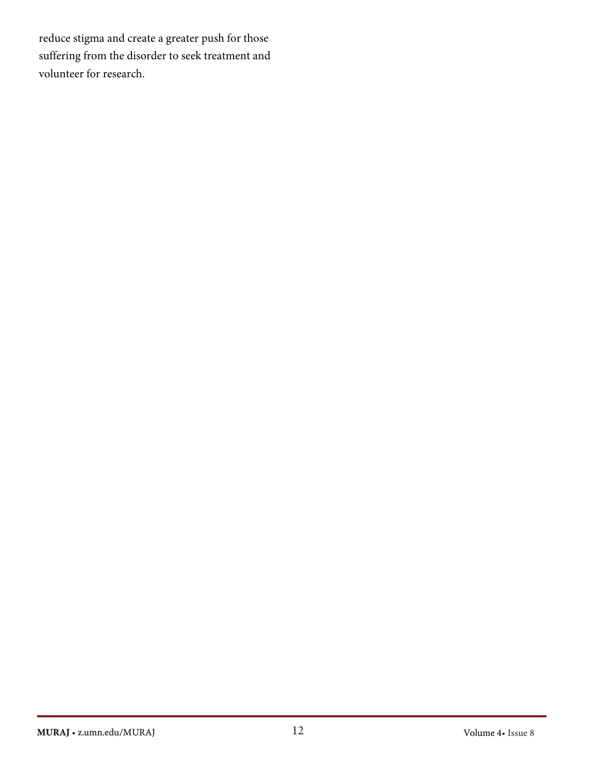reduce stigma and create a greater push for those suffering from the disorder to seek treatment and volunteer for research.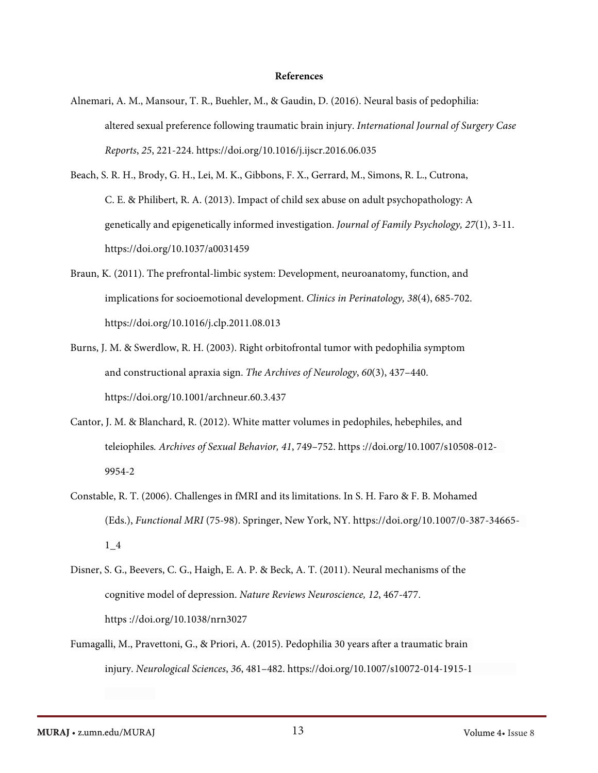#### **References**

- Alnemari, A. M., Mansour, T. R., Buehler, M., & Gaudin, D. (2016). Neural basis of pedophilia: altered sexual preference following traumatic brain injury. *International Journal of Surgery Case Reports*, *25*, 221-224. <https://doi.org/10.1016/j.ijscr.2016.06.035>
- Beach, S. R. H., Brody, G. H., Lei, M. K., Gibbons, F. X., Gerrard, M., Simons, R. L., Cutrona, C. E. & Philibert, R. A. (2013). Impact of child sex abuse on adult psychopathology: A genetically and epigenetically informed investigation. *Journal of Family Psychology, 27*(1), 3-11. [https://doi.org/10.1037/a0031459](https://psycnet.apa.org/doi/10.1037/a0031459)
- Braun, K. (2011). The prefrontal-limbic system: Development, neuroanatomy, function, and implications for socioemotional development. *Clinics in Perinatology, 38*(4), 685-702. <https://doi.org/10.1016/j.clp.2011.08.013>
- Burns, J. M. & Swerdlow, R. H. (2003). Right orbitofrontal tumor with pedophilia symptom and constructional apraxia sign. *The Archives of Neurology*, *60*(3), 437–440. <https://doi.org/10.1001/archneur.60.3.437>
- Cantor, J. M. & Blanchard, R. (2012). White matter volumes in pedophiles, hebephiles, and teleiophiles*. Archives of Sexual Behavior, 41*, 749–752. https [://doi.org/10.1007/s10508-012-](https://doi.org/10.1007/s10508-012-9954-2) [9954-2](https://doi.org/10.1007/s10508-012-9954-2)
- Constable, R. T. (2006). Challenges in fMRI and its limitations. In S. H. Faro & F. B. Mohamed (Eds.), *Functional MRI* (75-98). Springer, New York, NY. [https://doi.org/10.1007/0-387-34](https://doi.org/10.1007/0-387-)665- 1\_4
- Disner, S. G., Beevers, C. G., Haigh, E. A. P. & Beck, A. T. (2011). Neural mechanisms of the cognitive model of depression. *Nature Reviews Neuroscience, 12*, 467-477. https [://doi.org/10.1038/nrn3027](https://doi.org/10.1038/nrn3027)
- Fumagalli, M., Pravettoni, G., & Priori, A. (2015). Pedophilia 30 years after a traumatic brain injury. *Neurological Sciences*, *36*, 481–482. https://doi.org/10.1007/s10072-014-1915-1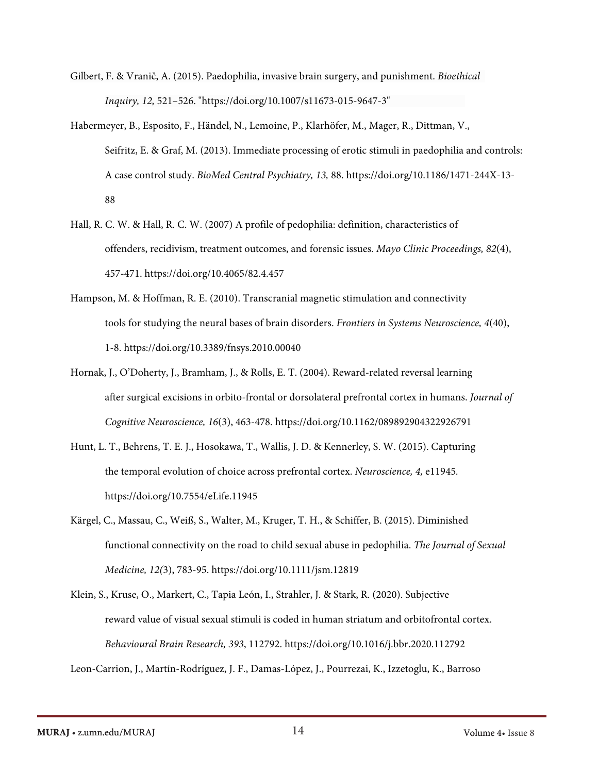- Gilbert, F. & Vranič, A. (2015). Paedophilia, invasive brain surgery, and punishment. *Bioethical Inquiry, 12,* 521–526. ["https://doi.org/10.1007/s11673-015-9647-3"](https://doi-org.ezp1.lib.umn.edu/10.1007/s11673-015-9647-3)
- Habermeyer, B., Esposito, F., Händel, N., Lemoine, P., Klarhöfer, M., Mager, R., Dittman, V., Seifritz, E. & Graf, M. (2013). Immediate processing of erotic stimuli in paedophilia and controls: A case control study. *BioMed Central Psychiatry, 13,* 88. [https://doi.org/10.1186/1471-244X-13-](https://doi.org/10.1186/1471-244X-13-88) [88](https://doi.org/10.1186/1471-244X-13-88)
- Hall, R. C. W. & Hall, R. C. W. (2007) A profile of pedophilia: definition, characteristics of offenders, recidivism, treatment outcomes, and forensic issues. *Mayo Clinic Proceedings, 82*(4), 457-471. <https://doi.org/10.4065/82.4.457>
- Hampson, M. & Hoffman, R. E. (2010). Transcranial magnetic stimulation and connectivity tools for studying the neural bases of brain disorders. *Frontiers in Systems Neuroscience, 4*(40), 1-8.<https://doi.org/10.3389/fnsys.2010.00040>
- Hornak, J., O'Doherty, J., Bramham, J., & Rolls, E. T. (2004). Reward-related reversal learning after surgical excisions in orbito-frontal or dorsolateral prefrontal cortex in humans. *Journal of Cognitive Neuroscience, 16*(3), 463-478. h[ttps://doi.org/10.1162/089892904322926791](https://doi.org/10.1162/089892904322926791)
- Hunt, L. T., Behrens, T. E. J., Hosokawa, T., Wallis, J. D. & Kennerley, S. W. (2015). Capturing the temporal evolution of choice across prefrontal cortex. *Neuroscience, 4,* e11945*.*  [https://doi.](https://doi/)or[g/10.7554/eLife.11945](https://dx.doi.org/10.7554%2FeLife.11945)
- Kärgel, C., Massau, C., Weiß, S., Walter, M., Kruger, T. H., & Schiffer, B. (2015). Diminished functional connectivity on the road to child sexual abuse in pedophilia. *The Journal of Sexual Medicine, 12(*3), 783-95. <https://doi.org/10.1111/jsm.12819>
- Klein, S., Kruse, O., Markert, C., Tapia León, I., Strahler, J. & Stark, R. (2020). Subjective reward value of visual sexual stimuli is coded in human striatum and orbitofrontal cortex. *Behavioural Brain Research, 393*, 112792. <https://doi.org/10.1016/j.bbr.2020.112792>

Leon-Carrion, J., Martín-Rodríguez, J. F., Damas-López, J., Pourrezai, K., Izzetoglu, K., Barroso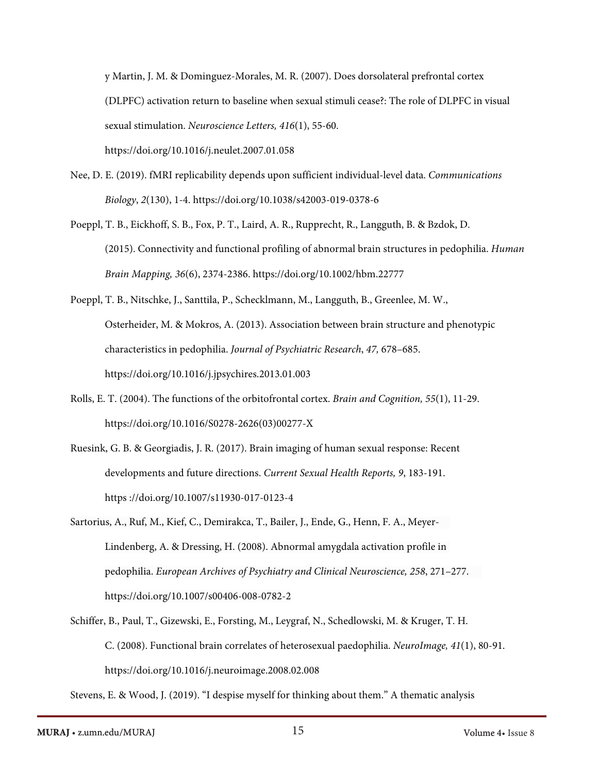y Martin, J. M. & Dominguez-Morales, M. R. (2007). Does dorsolateral prefrontal cortex (DLPFC) activation return to baseline when sexual stimuli cease?: The role of DLPFC in visual sexual stimulation. *Neuroscience Letters, 416*(1), 55-60. <https://doi.org/10.1016/j.neulet.2007.01.058>

- Nee, D. E. (2019). fMRI replicability depends upon sufficient individual-level data. *Communications Biology*, *2*(130), 1-4. <https://doi.org/10.1038/s42003-019-0378-6>
- Poeppl, T. B., Eickhoff, S. B., Fox, P. T., Laird, A. R., Rupprecht, R., Langguth, B. & Bzdok, D. (2015). Connectivity and functional profiling of abnormal brain structures in pedophilia. *Human Brain Mapping, 36*(6), 2374-2386. [https://doi.org/10.1002/hbm.22777](https://doi.org/10/1002/hbm.22777)
- Poeppl, T. B., Nitschke, J., Santtila, P., Schecklmann, M., Langguth, B., Greenlee, M. W., Osterheider, M. & Mokros, A. (2013). Association between brain structure and phenotypic characteristics in pedophilia. *Journal of Psychiatric Research*, *47,* 678–685. <https://doi.org/10.1016/j.jpsychires.2013.01.003>
- Rolls, E. T. (2004). The functions of the orbitofrontal cortex. *Brain and Cognition, 55*(1), 11-29. [https://doi.org/10.1016/S0278-2626\(03\)00277-X](https://doi.org/10.1016/S0278-2626(03)00277-X)
- Ruesink, G. B. & Georgiadis, J. R. (2017). Brain imaging of human sexual response: Recent developments and future directions. *Current Sexual Health Reports, 9*, 183-191. https [://doi.org/10.1007/s11930-017-0123-4](https://doi.org/10.1007/s11930-017-0123-4)
- Sartorius, A., Ruf, M., Kief, C., Demirakca, T., Bailer, J., Ende, G., Henn, F. A., Meyer-Lindenberg, A. & Dressing, H. (2008). Abnormal amygdala activation profile in pedophilia. *European Archives of Psychiatry and Clinical Neuroscience, 258*, 271–277. <https://doi.org/10.1007/s00406-008-0782-2>
- Schiffer, B., Paul, T., Gizewski, E., Forsting, M., Leygraf, N., Schedlowski, M. & Kruger, T. H. C. (2008). Functional brain correlates of heterosexual paedophilia. *NeuroImage, 41*(1), 80-91. <https://doi.org/10.1016/j.neuroimage.2008.02.008>

Stevens, E. & Wood, J. (2019). "I despise myself for thinking about them." A thematic analysis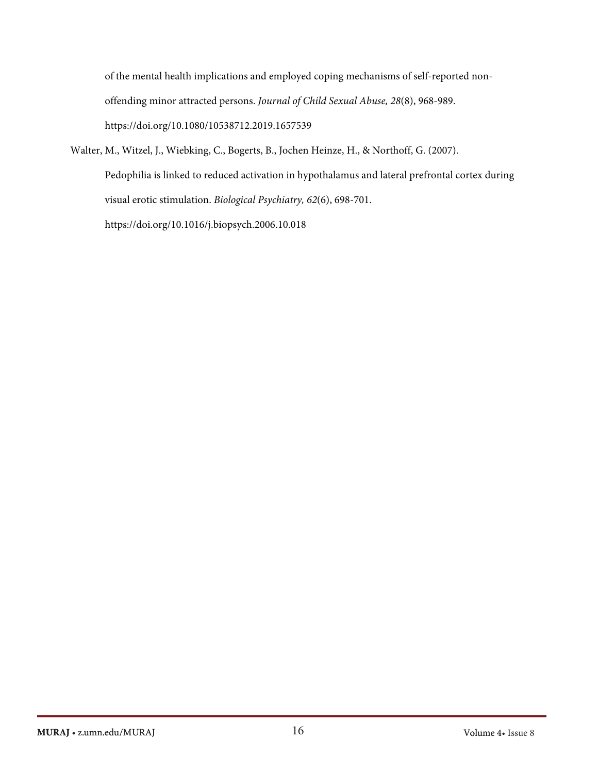of the mental health implications and employed coping mechanisms of self-reported nonoffending minor attracted persons. *Journal of Child Sexual Abuse, 28*(8), 968-989. <https://doi.org/10.1080/10538712.2019.1657539>

Walter, M., Witzel, J., Wiebking, C., Bogerts, B., Jochen Heinze, H., & Northoff, G. (2007). Pedophilia is linked to reduced activation in hypothalamus and lateral prefrontal cortex during visual erotic stimulation. *Biological Psychiatry, 62*(6), 698-701. [https://doi.](https://doi/)or[g/10.1016/j.biopsych.2006.10.018](https://doi.org/10.1016/j.biopsych.2006.10.018)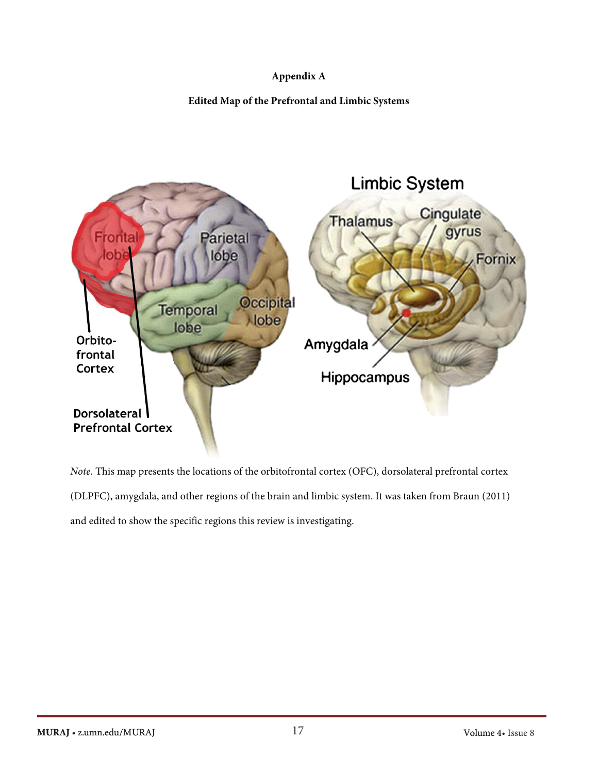### **Appendix A**

**Edited Map of the Prefrontal and Limbic Systems** 



*Note.* This map presents the locations of the orbitofrontal cortex (OFC), dorsolateral prefrontal cortex (DLPFC), amygdala, and other regions of the brain and limbic system. It was taken from Braun (2011) and edited to show the specific regions this review is investigating.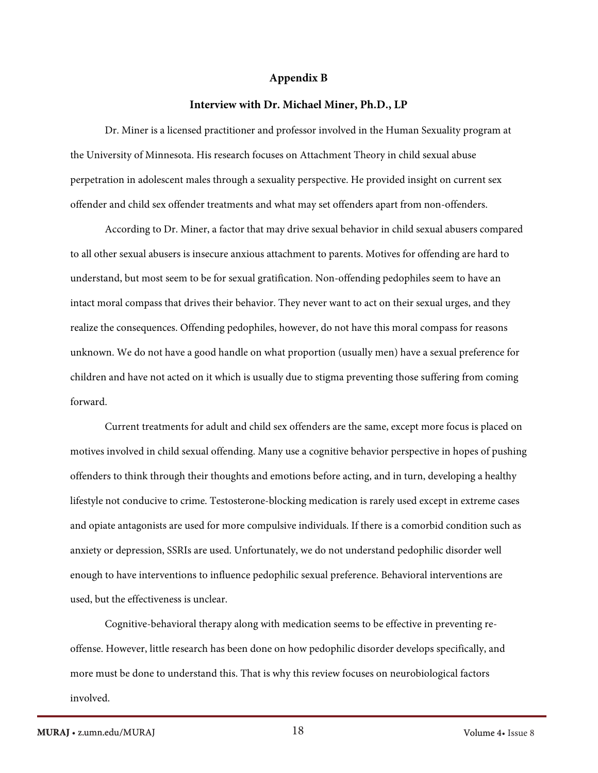#### **Appendix B**

#### **Interview with Dr. Michael Miner, Ph.D., LP**

Dr. Miner is a licensed practitioner and professor involved in the Human Sexuality program at the University of Minnesota. His research focuses on Attachment Theory in child sexual abuse perpetration in adolescent males through a sexuality perspective. He provided insight on current sex offender and child sex offender treatments and what may set offenders apart from non-offenders.

According to Dr. Miner, a factor that may drive sexual behavior in child sexual abusers compared to all other sexual abusers is insecure anxious attachment to parents. Motives for offending are hard to understand, but most seem to be for sexual gratification. Non-offending pedophiles seem to have an intact moral compass that drives their behavior. They never want to act on their sexual urges, and they realize the consequences. Offending pedophiles, however, do not have this moral compass for reasons unknown. We do not have a good handle on what proportion (usually men) have a sexual preference for children and have not acted on it which is usually due to stigma preventing those suffering from coming forward.

Current treatments for adult and child sex offenders are the same, except more focus is placed on motives involved in child sexual offending. Many use a cognitive behavior perspective in hopes of pushing offenders to think through their thoughts and emotions before acting, and in turn, developing a healthy lifestyle not conducive to crime. Testosterone-blocking medication is rarely used except in extreme cases and opiate antagonists are used for more compulsive individuals. If there is a comorbid condition such as anxiety or depression, SSRIs are used. Unfortunately, we do not understand pedophilic disorder well enough to have interventions to influence pedophilic sexual preference. Behavioral interventions are used, but the effectiveness is unclear.

Cognitive-behavioral therapy along with medication seems to be effective in preventing reoffense. However, little research has been done on how pedophilic disorder develops specifically, and more must be done to understand this. That is why this review focuses on neurobiological factors involved.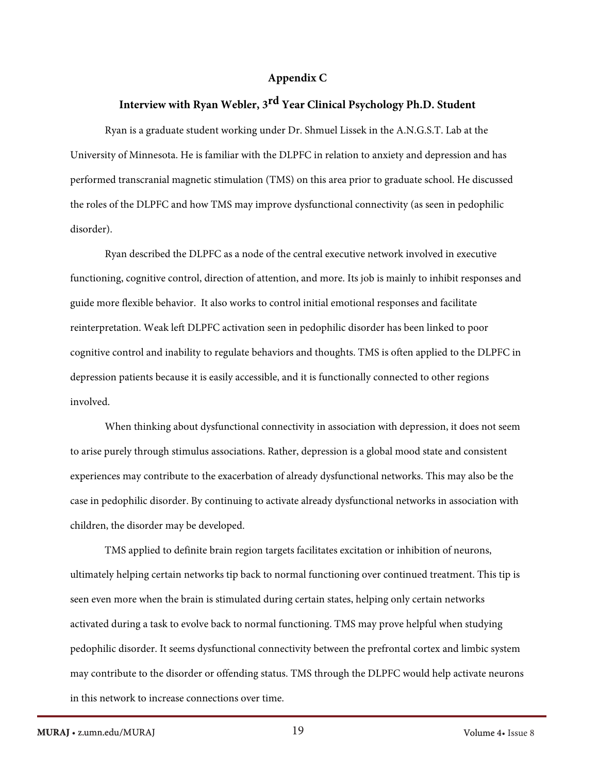#### **Appendix C**

# **Interview with Ryan Webler, 3 rd Year Clinical Psychology Ph.D. Student**

Ryan is a graduate student working under Dr. Shmuel Lissek in the A.N.G.S.T. Lab at the University of Minnesota. He is familiar with the DLPFC in relation to anxiety and depression and has performed transcranial magnetic stimulation (TMS) on this area prior to graduate school. He discussed the roles of the DLPFC and how TMS may improve dysfunctional connectivity (as seen in pedophilic disorder).

Ryan described the DLPFC as a node of the central executive network involved in executive functioning, cognitive control, direction of attention, and more. Its job is mainly to inhibit responses and guide more flexible behavior. It also works to control initial emotional responses and facilitate reinterpretation. Weak left DLPFC activation seen in pedophilic disorder has been linked to poor cognitive control and inability to regulate behaviors and thoughts. TMS is often applied to the DLPFC in depression patients because it is easily accessible, and it is functionally connected to other regions involved.

When thinking about dysfunctional connectivity in association with depression, it does not seem to arise purely through stimulus associations. Rather, depression is a global mood state and consistent experiences may contribute to the exacerbation of already dysfunctional networks. This may also be the case in pedophilic disorder. By continuing to activate already dysfunctional networks in association with children, the disorder may be developed.

TMS applied to definite brain region targets facilitates excitation or inhibition of neurons, ultimately helping certain networks tip back to normal functioning over continued treatment. This tip is seen even more when the brain is stimulated during certain states, helping only certain networks activated during a task to evolve back to normal functioning. TMS may prove helpful when studying pedophilic disorder. It seems dysfunctional connectivity between the prefrontal cortex and limbic system may contribute to the disorder or offending status. TMS through the DLPFC would help activate neurons in this network to increase connections over time.